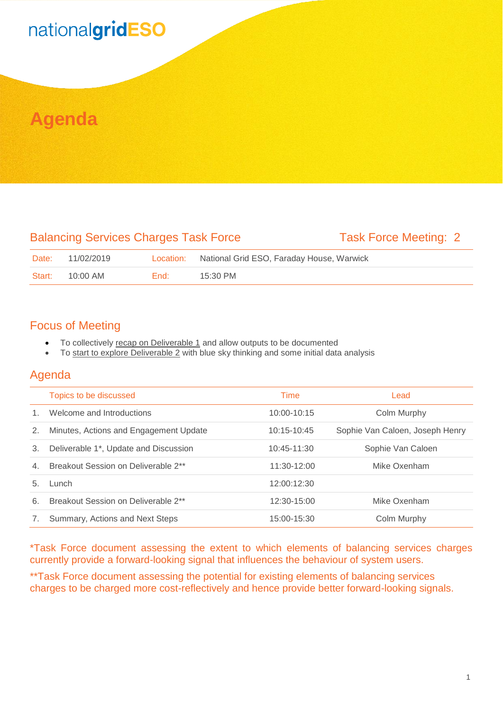# nationalgridESO

## **Agenda**

#### Balancing Services Charges Task Force Task Force Meeting: 2

| Date:  | 11/02/2019 | Location: | National Grid ESO, Faraday House, Warwick |
|--------|------------|-----------|-------------------------------------------|
| Start: | 10:00 AM   | End:      | $15:30$ PM                                |

#### Focus of Meeting

- To collectively recap on Deliverable 1 and allow outputs to be documented
- To start to explore Deliverable 2 with blue sky thinking and some initial data analysis

#### Agenda

|    | Topics to be discussed                 | Time          | Lead                            |
|----|----------------------------------------|---------------|---------------------------------|
|    | Welcome and Introductions              | 10:00-10:15   | Colm Murphy                     |
| 2. | Minutes, Actions and Engagement Update | 10:15-10:45   | Sophie Van Caloen, Joseph Henry |
| 3. | Deliverable 1*, Update and Discussion  | 10:45-11:30   | Sophie Van Caloen               |
| 4. | Breakout Session on Deliverable 2**    | $11:30-12:00$ | Mike Oxenham                    |
| 5. | Lunch                                  | 12:00:12:30   |                                 |
| 6. | Breakout Session on Deliverable 2**    | 12:30-15:00   | Mike Oxenham                    |
| 7. | Summary, Actions and Next Steps        | 15:00-15:30   | Colm Murphy                     |

\*Task Force document assessing the extent to which elements of balancing services charges currently provide a forward-looking signal that influences the behaviour of system users.

\*\*Task Force document assessing the potential for existing elements of balancing services charges to be charged more cost-reflectively and hence provide better forward-looking signals.